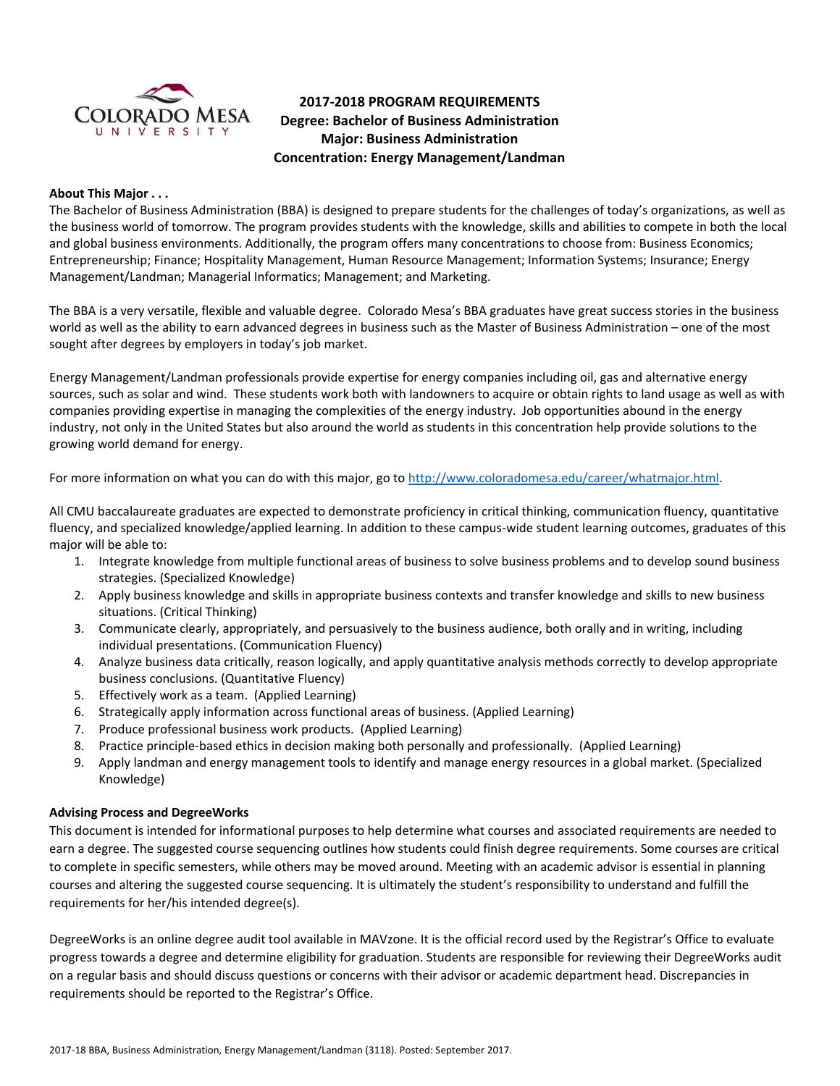

# **2017-2018 PROGRAM REQUIREMENTS Degree: Bachelor of Business Administration Major: Business Administration Concentration: Energy Management/Landman**

#### **About This Major . . .**

The Bachelor of Business Administration (BBA) is designed to prepare students for the challenges of today's organizations, as well as the business world of tomorrow. The program provides students with the knowledge, skills and abilities to compete in both the local and global business environments. Additionally, the program offers many concentrations to choose from: Business Economics; Entrepreneurship; Finance; Hospitality Management, Human Resource Management; Information Systems; Insurance; Energy Management/Landman; Managerial Informatics; Management; and Marketing.

The BBA is a very versatile, flexible and valuable degree. Colorado Mesa's BBA graduates have great success stories in the business world as well as the ability to earn advanced degrees in business such as the Master of Business Administration – one of the most sought after degrees by employers in today's job market.

Energy Management/Landman professionals provide expertise for energy companies including oil, gas and alternative energy sources, such as solar and wind. These students work both with landowners to acquire or obtain rights to land usage as well as with companies providing expertise in managing the complexities of the energy industry. Job opportunities abound in the energy industry, not only in the United States but also around the world as students in this concentration help provide solutions to the growing world demand for energy.

For more information on what you can do with this major, go t[o http://www.coloradomesa.edu/career/whatmajor.html.](http://www.coloradomesa.edu/career/whatmajor.html)

All CMU baccalaureate graduates are expected to demonstrate proficiency in critical thinking, communication fluency, quantitative fluency, and specialized knowledge/applied learning. In addition to these campus-wide student learning outcomes, graduates of this major will be able to:

- 1. Integrate knowledge from multiple functional areas of business to solve business problems and to develop sound business strategies. (Specialized Knowledge)
- 2. Apply business knowledge and skills in appropriate business contexts and transfer knowledge and skills to new business situations. (Critical Thinking)
- 3. Communicate clearly, appropriately, and persuasively to the business audience, both orally and in writing, including individual presentations. (Communication Fluency)
- 4. Analyze business data critically, reason logically, and apply quantitative analysis methods correctly to develop appropriate business conclusions. (Quantitative Fluency)
- 5. Effectively work as a team. (Applied Learning)
- 6. Strategically apply information across functional areas of business. (Applied Learning)
- 7. Produce professional business work products. (Applied Learning)
- 8. Practice principle-based ethics in decision making both personally and professionally. (Applied Learning)
- 9. Apply landman and energy management tools to identify and manage energy resources in a global market. (Specialized Knowledge)

#### **Advising Process and DegreeWorks**

This document is intended for informational purposes to help determine what courses and associated requirements are needed to earn a degree. The suggested course sequencing outlines how students could finish degree requirements. Some courses are critical to complete in specific semesters, while others may be moved around. Meeting with an academic advisor is essential in planning courses and altering the suggested course sequencing. It is ultimately the student's responsibility to understand and fulfill the requirements for her/his intended degree(s).

DegreeWorks is an online degree audit tool available in MAVzone. It is the official record used by the Registrar's Office to evaluate progress towards a degree and determine eligibility for graduation. Students are responsible for reviewing their DegreeWorks audit on a regular basis and should discuss questions or concerns with their advisor or academic department head. Discrepancies in requirements should be reported to the Registrar's Office.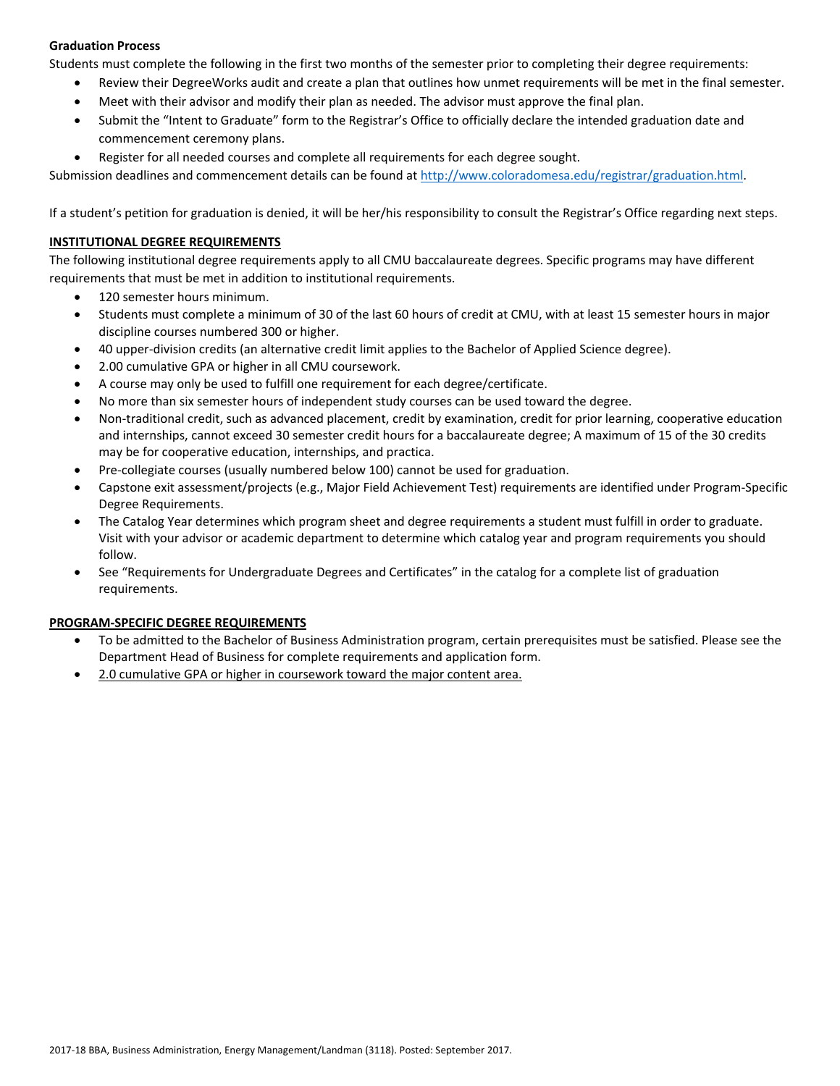#### **Graduation Process**

Students must complete the following in the first two months of the semester prior to completing their degree requirements:

- Review their DegreeWorks audit and create a plan that outlines how unmet requirements will be met in the final semester.
- Meet with their advisor and modify their plan as needed. The advisor must approve the final plan.
- Submit the "Intent to Graduate" form to the Registrar's Office to officially declare the intended graduation date and commencement ceremony plans.
- Register for all needed courses and complete all requirements for each degree sought.

Submission deadlines and commencement details can be found at [http://www.coloradomesa.edu/registrar/graduation.html.](http://www.coloradomesa.edu/registrar/graduation.html)

If a student's petition for graduation is denied, it will be her/his responsibility to consult the Registrar's Office regarding next steps.

#### **INSTITUTIONAL DEGREE REQUIREMENTS**

The following institutional degree requirements apply to all CMU baccalaureate degrees. Specific programs may have different requirements that must be met in addition to institutional requirements.

- 120 semester hours minimum.
- Students must complete a minimum of 30 of the last 60 hours of credit at CMU, with at least 15 semester hours in major discipline courses numbered 300 or higher.
- 40 upper-division credits (an alternative credit limit applies to the Bachelor of Applied Science degree).
- 2.00 cumulative GPA or higher in all CMU coursework.
- A course may only be used to fulfill one requirement for each degree/certificate.
- No more than six semester hours of independent study courses can be used toward the degree.
- Non-traditional credit, such as advanced placement, credit by examination, credit for prior learning, cooperative education and internships, cannot exceed 30 semester credit hours for a baccalaureate degree; A maximum of 15 of the 30 credits may be for cooperative education, internships, and practica.
- Pre-collegiate courses (usually numbered below 100) cannot be used for graduation.
- Capstone exit assessment/projects (e.g., Major Field Achievement Test) requirements are identified under Program-Specific Degree Requirements.
- The Catalog Year determines which program sheet and degree requirements a student must fulfill in order to graduate. Visit with your advisor or academic department to determine which catalog year and program requirements you should follow.
- See "Requirements for Undergraduate Degrees and Certificates" in the catalog for a complete list of graduation requirements.

#### **PROGRAM-SPECIFIC DEGREE REQUIREMENTS**

- To be admitted to the Bachelor of Business Administration program, certain prerequisites must be satisfied. Please see the Department Head of Business for complete requirements and application form.
- 2.0 cumulative GPA or higher in coursework toward the major content area.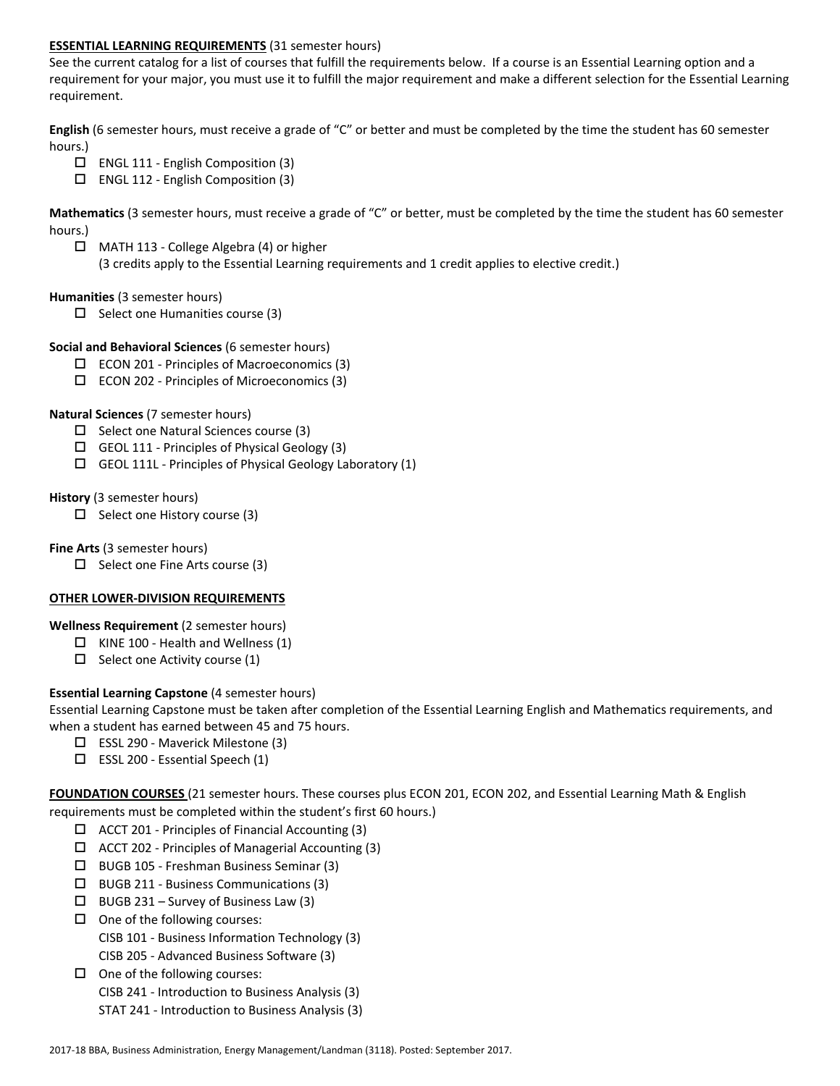#### **ESSENTIAL LEARNING REQUIREMENTS** (31 semester hours)

See the current catalog for a list of courses that fulfill the requirements below. If a course is an Essential Learning option and a requirement for your major, you must use it to fulfill the major requirement and make a different selection for the Essential Learning requirement.

**English** (6 semester hours, must receive a grade of "C" or better and must be completed by the time the student has 60 semester hours.)

- $\Box$  ENGL 111 English Composition (3)
- $\square$  ENGL 112 English Composition (3)

**Mathematics** (3 semester hours, must receive a grade of "C" or better, must be completed by the time the student has 60 semester hours.)

 MATH 113 - College Algebra (4) or higher (3 credits apply to the Essential Learning requirements and 1 credit applies to elective credit.)

#### **Humanities** (3 semester hours)

 $\Box$  Select one Humanities course (3)

#### **Social and Behavioral Sciences** (6 semester hours)

- $\square$  ECON 201 Principles of Macroeconomics (3)
- $\square$  ECON 202 Principles of Microeconomics (3)

#### **Natural Sciences** (7 semester hours)

- $\Box$  Select one Natural Sciences course (3)
- $\Box$  GEOL 111 Principles of Physical Geology (3)
- GEOL 111L Principles of Physical Geology Laboratory (1)

#### **History** (3 semester hours)

 $\Box$  Select one History course (3)

### **Fine Arts** (3 semester hours)

 $\Box$  Select one Fine Arts course (3)

#### **OTHER LOWER-DIVISION REQUIREMENTS**

#### **Wellness Requirement** (2 semester hours)

- $\Box$  KINE 100 Health and Wellness (1)
- $\Box$  Select one Activity course (1)

## **Essential Learning Capstone** (4 semester hours)

Essential Learning Capstone must be taken after completion of the Essential Learning English and Mathematics requirements, and when a student has earned between 45 and 75 hours.

- ESSL 290 Maverick Milestone (3)
- $\square$  ESSL 200 Essential Speech (1)

**FOUNDATION COURSES** (21 semester hours. These courses plus ECON 201, ECON 202, and Essential Learning Math & English requirements must be completed within the student's first 60 hours.)

- $\Box$  ACCT 201 Principles of Financial Accounting (3)
- $\Box$  ACCT 202 Principles of Managerial Accounting (3)
- BUGB 105 Freshman Business Seminar (3)
- $\Box$  BUGB 211 Business Communications (3)
- $\Box$  BUGB 231 Survey of Business Law (3)
- $\Box$  One of the following courses:
	- CISB 101 Business Information Technology (3)
	- CISB 205 Advanced Business Software (3)
- $\Box$  One of the following courses:
	- CISB 241 Introduction to Business Analysis (3)
	- STAT 241 Introduction to Business Analysis (3)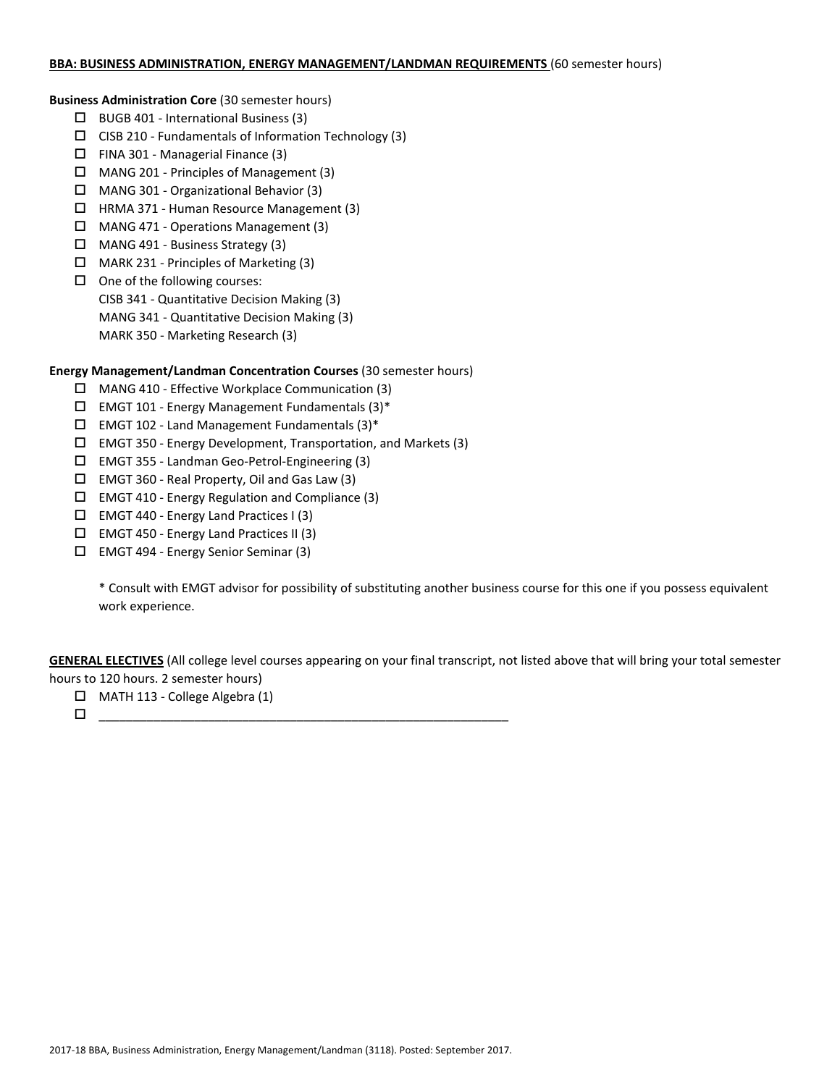#### **BBA: BUSINESS ADMINISTRATION, ENERGY MANAGEMENT/LANDMAN REQUIREMENTS** (60 semester hours)

**Business Administration Core** (30 semester hours)

- $\Box$  BUGB 401 International Business (3)
- $\square$  CISB 210 Fundamentals of Information Technology (3)
- $\Box$  FINA 301 Managerial Finance (3)
- MANG 201 Principles of Management (3)
- MANG 301 Organizational Behavior (3)
- HRMA 371 Human Resource Management (3)
- MANG 471 Operations Management (3)
- MANG 491 Business Strategy (3)
- $\Box$  MARK 231 Principles of Marketing (3)
- $\Box$  One of the following courses: CISB 341 - Quantitative Decision Making (3) MANG 341 - Quantitative Decision Making (3) MARK 350 - Marketing Research (3)

#### **Energy Management/Landman Concentration Courses** (30 semester hours)

- MANG 410 Effective Workplace Communication (3)
- $\Box$  EMGT 101 Energy Management Fundamentals (3)\*
- $\Box$  EMGT 102 Land Management Fundamentals (3)\*
- EMGT 350 Energy Development, Transportation, and Markets (3)
- EMGT 355 Landman Geo-Petrol-Engineering (3)
- $\Box$  EMGT 360 Real Property, Oil and Gas Law (3)
- EMGT 410 Energy Regulation and Compliance (3)
- $\Box$  EMGT 440 Energy Land Practices I (3)
- EMGT 450 Energy Land Practices II (3)
- EMGT 494 Energy Senior Seminar (3)

\* Consult with EMGT advisor for possibility of substituting another business course for this one if you possess equivalent work experience.

**GENERAL ELECTIVES** (All college level courses appearing on your final transcript, not listed above that will bring your total semester hours to 120 hours. 2 semester hours)

MATH 113 - College Algebra (1)

 $\Box$   $\underline{\hspace{1cm}}$   $\underline{\hspace{1cm}}$   $\underline{\hspace{1cm}}$   $\underline{\hspace{1cm}}$   $\overline{\hspace{1cm}}$   $\overline{\hspace{1cm}}$   $\overline{\hspace{1cm}}$   $\overline{\hspace{1cm}}$   $\overline{\hspace{1cm}}$   $\overline{\hspace{1cm}}$   $\overline{\hspace{1cm}}$   $\overline{\hspace{1cm}}$   $\overline{\hspace{1cm}}$   $\overline{\hspace{1cm}}$   $\overline{\hspace{1cm}}$   $\overline{\hspace{1cm}}$   $\overline{\hspace{1$